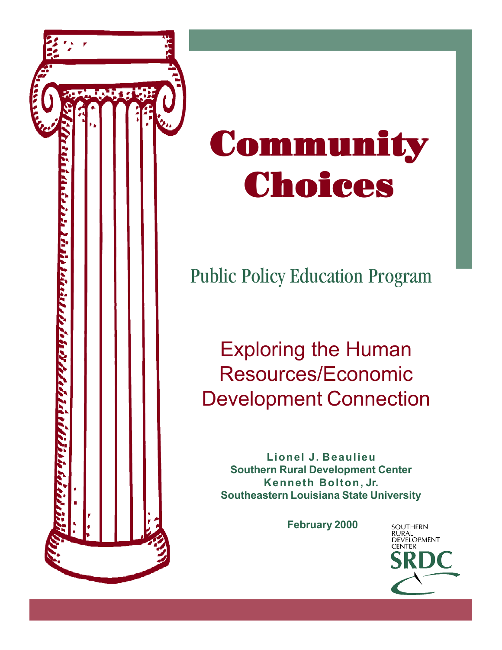

# **Community** Choices

# Public Policy Education Program

## Exploring the Human Resources/Economic Development Connection

**Lionel J. Beaulieu Southern Rural Development Center Kenneth Bolton, Jr. Southeastern Louisiana State University**

**February 2000**

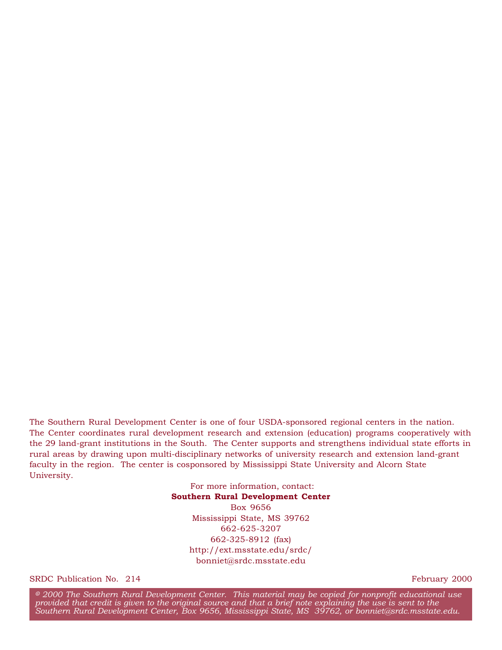The Southern Rural Development Center is one of four USDA-sponsored regional centers in the nation. The Center coordinates rural development research and extension (education) programs cooperatively with the 29 land-grant institutions in the South. The Center supports and strengthens individual state efforts in rural areas by drawing upon multi-disciplinary networks of university research and extension land-grant faculty in the region. The center is cosponsored by Mississippi State University and Alcorn State University.

> For more information, contact: **Southern Rural Development Center** Box 9656 Mississippi State, MS 39762 662-625-3207 662-325-8912 (fax) http://ext.msstate.edu/srdc/ bonniet@srdc.msstate.edu

SRDC Publication No. 214 February 2000

<sup>8</sup> *2000 The Southern Rural Development Center. This material may be copied for nonprofit educational use provided that credit is given to the original source and that a brief note explaining the use is sent to the Southern Rural Development Center, Box 9656, Mississippi State, MS 39762, or bonniet@srdc.msstate.edu.*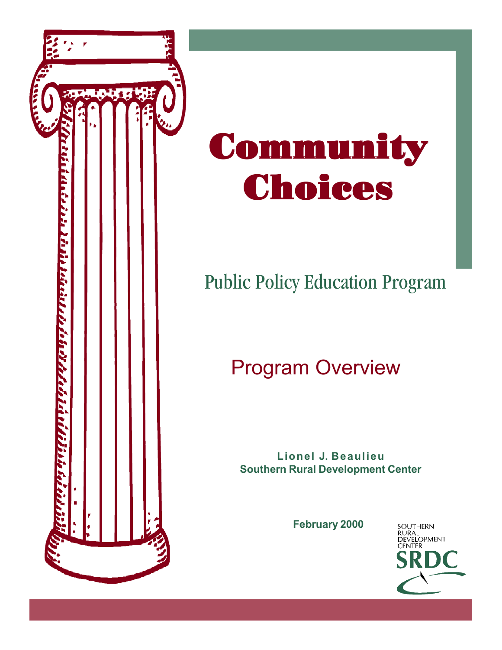

# Community Choices

# Public Policy Education Program

# Program Overview

**Lionel J. Beaulieu Southern Rural Development Center**

**February 2000**

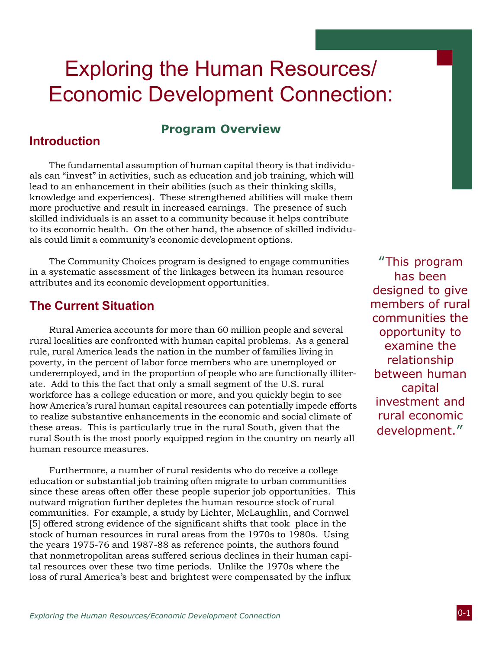## Exploring the Human Resources/ Economic Development Connection:

### **Program Overview**

#### Introduction

The fundamental assumption of human capital theory is that individuals can "invest" in activities, such as education and job training, which will lead to an enhancement in their abilities (such as their thinking skills, knowledge and experiences). These strengthened abilities will make them more productive and result in increased earnings. The presence of such skilled individuals is an asset to a community because it helps contribute to its economic health. On the other hand, the absence of skilled individuals could limit a community's economic development options.

The Community Choices program is designed to engage communities in a systematic assessment of the linkages between its human resource attributes and its economic development opportunities.

#### The Current Situation

Rural America accounts for more than 60 million people and several rural localities are confronted with human capital problems. As a general rule, rural America leads the nation in the number of families living in poverty, in the percent of labor force members who are unemployed or underemployed, and in the proportion of people who are functionally illiterate. Add to this the fact that only a small segment of the U.S. rural workforce has a college education or more, and you quickly begin to see how America's rural human capital resources can potentially impede efforts to realize substantive enhancements in the economic and social climate of these areas. This is particularly true in the rural South, given that the rural South is the most poorly equipped region in the country on nearly all human resource measures.

Furthermore, a number of rural residents who do receive a college education or substantial job training often migrate to urban communities since these areas often offer these people superior job opportunities. This outward migration further depletes the human resource stock of rural communities. For example, a study by Lichter, McLaughlin, and Cornwel [5] offered strong evidence of the significant shifts that took place in the stock of human resources in rural areas from the 1970s to 1980s. Using the years 1975-76 and 1987-88 as reference points, the authors found that nonmetropolitan areas suffered serious declines in their human capital resources over these two time periods. Unlike the 1970s where the loss of rural America's best and brightest were compensated by the influx

"This program has been designed to give members of rural communities the opportunity to examine the relationship between human capital investment and rural economic development."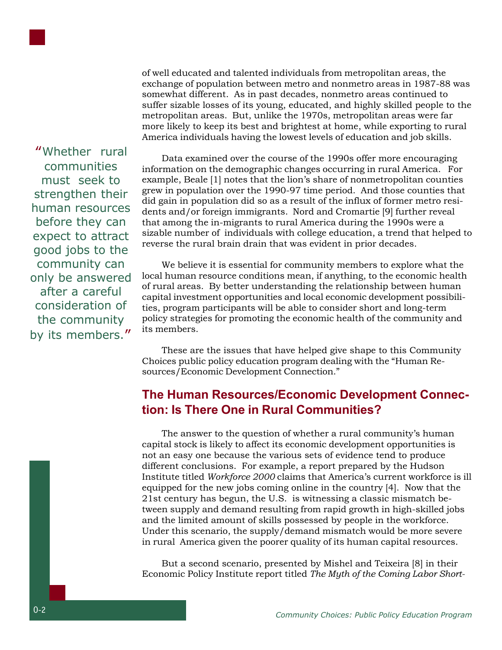

of well educated and talented individuals from metropolitan areas, the exchange of population between metro and nonmetro areas in 1987-88 was somewhat different. As in past decades, nonmetro areas continued to suffer sizable losses of its young, educated, and highly skilled people to the metropolitan areas. But, unlike the 1970s, metropolitan areas were far more likely to keep its best and brightest at home, while exporting to rural America individuals having the lowest levels of education and job skills.

"Whether rural communities must seek to strengthen their human resources before they can expect to attract good jobs to the community can only be answered after a careful consideration of the community by its members."

Data examined over the course of the 1990s offer more encouraging information on the demographic changes occurring in rural America. For example, Beale [1] notes that the lion's share of nonmetropolitan counties grew in population over the 1990-97 time period. And those counties that did gain in population did so as a result of the influx of former metro residents and/or foreign immigrants. Nord and Cromartie [9] further reveal that among the in-migrants to rural America during the 1990s were a sizable number of individuals with college education, a trend that helped to reverse the rural brain drain that was evident in prior decades.

We believe it is essential for community members to explore what the local human resource conditions mean, if anything, to the economic health of rural areas. By better understanding the relationship between human capital investment opportunities and local economic development possibilities, program participants will be able to consider short and long-term policy strategies for promoting the economic health of the community and its members.

These are the issues that have helped give shape to this Community Choices public policy education program dealing with the "Human Resources/Economic Development Connection."

## The Human Resources/Economic Development Connection: Is There One in Rural Communities?

The answer to the question of whether a rural community's human capital stock is likely to affect its economic development opportunities is not an easy one because the various sets of evidence tend to produce different conclusions. For example, a report prepared by the Hudson Institute titled *Workforce 2000* claims that America's current workforce is ill equipped for the new jobs coming online in the country [4]. Now that the 21st century has begun, the U.S. is witnessing a classic mismatch between supply and demand resulting from rapid growth in high-skilled jobs and the limited amount of skills possessed by people in the workforce. Under this scenario, the supply/demand mismatch would be more severe in rural America given the poorer quality of its human capital resources.

But a second scenario, presented by Mishel and Teixeira [8] in their Economic Policy Institute report titled *The Myth of the Coming Labor Short-*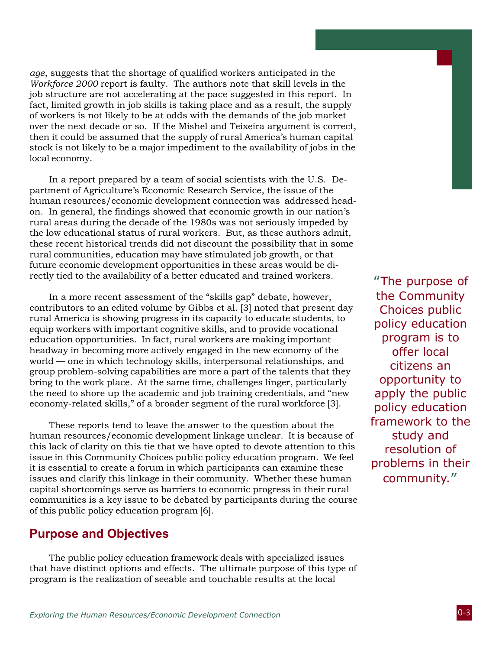*age*, suggests that the shortage of qualified workers anticipated in the *Workforce 2000* report is faulty. The authors note that skill levels in the job structure are not accelerating at the pace suggested in this report. In fact, limited growth in job skills is taking place and as a result, the supply of workers is not likely to be at odds with the demands of the job market over the next decade or so. If the Mishel and Teixeira argument is correct, then it could be assumed that the supply of rural America's human capital stock is not likely to be a major impediment to the availability of jobs in the local economy.

In a report prepared by a team of social scientists with the U.S. Department of Agriculture's Economic Research Service, the issue of the human resources/economic development connection was addressed headon. In general, the findings showed that economic growth in our nation's rural areas during the decade of the 1980s was not seriously impeded by the low educational status of rural workers. But, as these authors admit, these recent historical trends did not discount the possibility that in some rural communities, education may have stimulated job growth, or that future economic development opportunities in these areas would be directly tied to the availability of a better educated and trained workers.

In a more recent assessment of the "skills gap" debate, however, contributors to an edited volume by Gibbs et al. [3] noted that present day rural America is showing progress in its capacity to educate students, to equip workers with important cognitive skills, and to provide vocational education opportunities. In fact, rural workers are making important headway in becoming more actively engaged in the new economy of the world — one in which technology skills, interpersonal relationships, and group problem-solving capabilities are more a part of the talents that they bring to the work place. At the same time, challenges linger, particularly the need to shore up the academic and job training credentials, and "new economy-related skills," of a broader segment of the rural workforce [3].

These reports tend to leave the answer to the question about the human resources/economic development linkage unclear. It is because of this lack of clarity on this tie that we have opted to devote attention to this issue in this Community Choices public policy education program. We feel it is essential to create a forum in which participants can examine these issues and clarify this linkage in their community. Whether these human capital shortcomings serve as barriers to economic progress in their rural communities is a key issue to be debated by participants during the course of this public policy education program [6].

#### Purpose and Objectives

The public policy education framework deals with specialized issues that have distinct options and effects. The ultimate purpose of this type of program is the realization of seeable and touchable results at the local

"The purpose of the Community Choices public policy education program is to offer local citizens an opportunity to apply the public policy education framework to the study and resolution of problems in their community."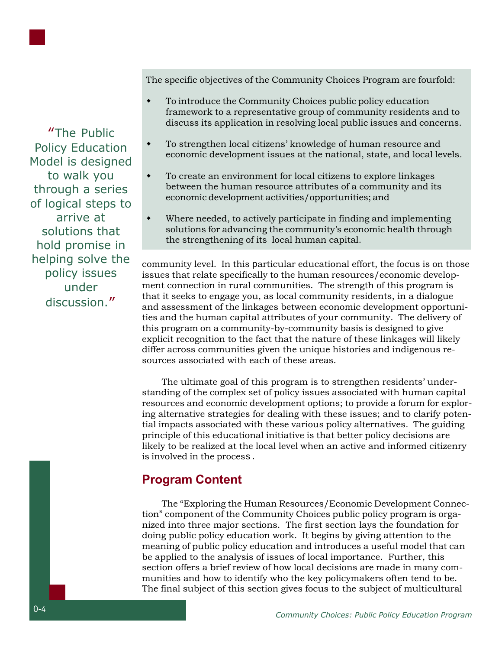The specific objectives of the Community Choices Program are fourfold:

- To introduce the Community Choices public policy education framework to a representative group of community residents and to discuss its application in resolving local public issues and concerns.
- To strengthen local citizens' knowledge of human resource and economic development issues at the national, state, and local levels.
- To create an environment for local citizens to explore linkages between the human resource attributes of a community and its economic development activities/opportunities; and
- Where needed, to actively participate in finding and implementing solutions for advancing the community's economic health through the strengthening of its local human capital.

community level. In this particular educational effort, the focus is on those issues that relate specifically to the human resources/economic development connection in rural communities. The strength of this program is that it seeks to engage you, as local community residents, in a dialogue and assessment of the linkages between economic development opportunities and the human capital attributes of your community. The delivery of this program on a community-by-community basis is designed to give explicit recognition to the fact that the nature of these linkages will likely differ across communities given the unique histories and indigenous resources associated with each of these areas.

The ultimate goal of this program is to strengthen residents' understanding of the complex set of policy issues associated with human capital resources and economic development options; to provide a forum for exploring alternative strategies for dealing with these issues; and to clarify potential impacts associated with these various policy alternatives. The guiding principle of this educational initiative is that better policy decisions are likely to be realized at the local level when an active and informed citizenry is involved in the process.

## Program Content

The "Exploring the Human Resources/Economic Development Connection" component of the Community Choices public policy program is organized into three major sections. The first section lays the foundation for doing public policy education work. It begins by giving attention to the meaning of public policy education and introduces a useful model that can be applied to the analysis of issues of local importance. Further, this section offers a brief review of how local decisions are made in many communities and how to identify who the key policymakers often tend to be. The final subject of this section gives focus to the subject of multicultural

"The Public Policy Education Model is designed to walk you through a series of logical steps to arrive at solutions that hold promise in helping solve the policy issues under discussion."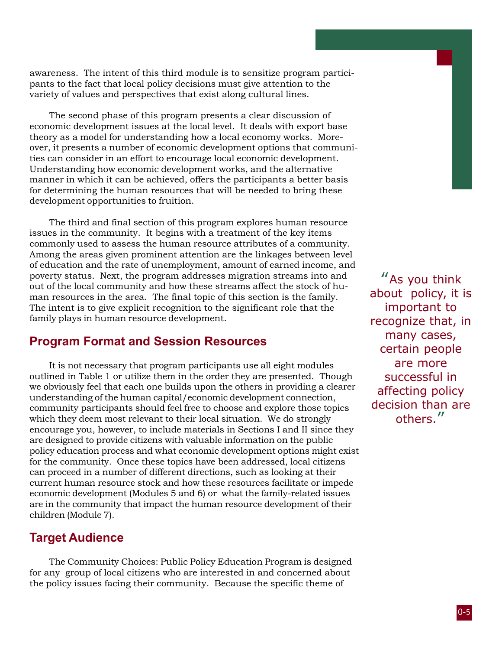awareness. The intent of this third module is to sensitize program participants to the fact that local policy decisions must give attention to the variety of values and perspectives that exist along cultural lines.

The second phase of this program presents a clear discussion of economic development issues at the local level. It deals with export base theory as a model for understanding how a local economy works. Moreover, it presents a number of economic development options that communities can consider in an effort to encourage local economic development. Understanding how economic development works, and the alternative manner in which it can be achieved, offers the participants a better basis for determining the human resources that will be needed to bring these development opportunities to fruition.

The third and final section of this program explores human resource issues in the community. It begins with a treatment of the key items commonly used to assess the human resource attributes of a community. Among the areas given prominent attention are the linkages between level of education and the rate of unemployment, amount of earned income, and poverty status. Next, the program addresses migration streams into and out of the local community and how these streams affect the stock of human resources in the area. The final topic of this section is the family. The intent is to give explicit recognition to the significant role that the family plays in human resource development.

#### Program Format and Session Resources

It is not necessary that program participants use all eight modules outlined in Table 1 or utilize them in the order they are presented. Though we obviously feel that each one builds upon the others in providing a clearer understanding of the human capital/economic development connection, community participants should feel free to choose and explore those topics which they deem most relevant to their local situation. We do strongly encourage you, however, to include materials in Sections I and II since they are designed to provide citizens with valuable information on the public policy education process and what economic development options might exist for the community. Once these topics have been addressed, local citizens can proceed in a number of different directions, such as looking at their current human resource stock and how these resources facilitate or impede economic development (Modules 5 and 6) or what the family-related issues are in the community that impact the human resource development of their children (Module 7).

## Target Audience

The Community Choices: Public Policy Education Program is designed for any group of local citizens who are interested in and concerned about the policy issues facing their community. Because the specific theme of

"As you think about policy, it is important to recognize that, in many cases, certain people are more successful in affecting policy decision than are others."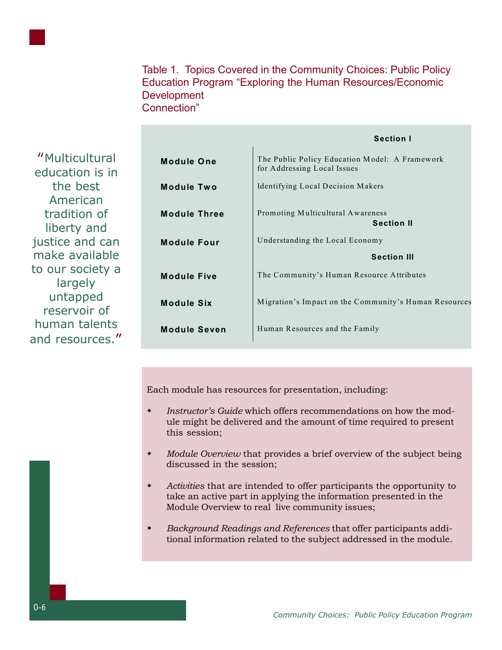

"Multicultural education is in the best American tradition of liberty and justice and can make available to our society a largely untapped reservoir of human talents and resources."

|                     | <b>Section I</b>                                                              |
|---------------------|-------------------------------------------------------------------------------|
| <b>Module One</b>   | The Public Policy Education Model: A Framework<br>for Addressing Local Issues |
| <b>Module Two</b>   | Identifying Local Decision Makers                                             |
| <b>Module Three</b> | Promoting Multicultural Awareness<br><b>Section II</b>                        |
| <b>Module Four</b>  | Understanding the Local Economy                                               |
|                     | <b>Section III</b>                                                            |
| <b>Module Five</b>  | The Community's Human Resource Attributes                                     |
|                     |                                                                               |
| Module Six          | Migration's Impact on the Community's Human Resources                         |
|                     |                                                                               |
| <b>Module Seven</b> | Human Resources and the Family                                                |

Each module has resources for presentation, including:

- *Instructor's Guide* which offers recommendations on how the module might be delivered and the amount of time required to present this session;
- *Module Overview* that provides a brief overview of the subject being discussed in the session;
- *Activities* that are intended to offer participants the opportunity to take an active part in applying the information presented in the Module Overview to real live community issues;
- *Background Readings and References* that offer participants additional information related to the subject addressed in the module.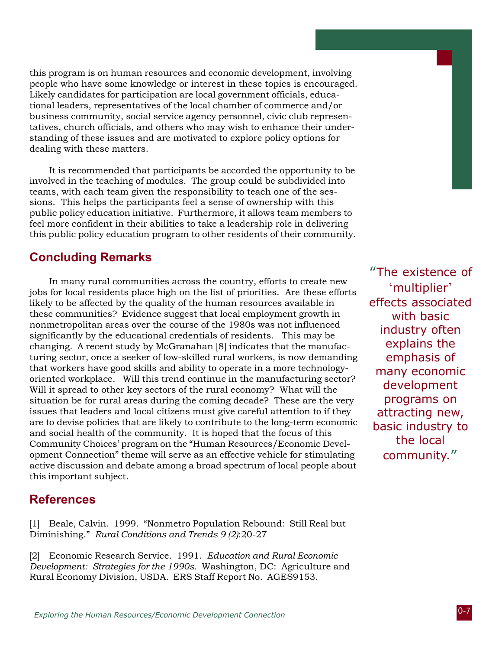this program is on human resources and economic development, involving people who have some knowledge or interest in these topics is encouraged. Likely candidates for participation are local government officials, educational leaders, representatives of the local chamber of commerce and/or business community, social service agency personnel, civic club representatives, church officials, and others who may wish to enhance their understanding of these issues and are motivated to explore policy options for dealing with these matters.

It is recommended that participants be accorded the opportunity to be involved in the teaching of modules. The group could be subdivided into teams, with each team given the responsibility to teach one of the sessions. This helps the participants feel a sense of ownership with this public policy education initiative. Furthermore, it allows team members to feel more confident in their abilities to take a leadership role in delivering this public policy education program to other residents of their community.

#### Concluding Remarks

In many rural communities across the country, efforts to create new jobs for local residents place high on the list of priorities. Are these efforts likely to be affected by the quality of the human resources available in these communities? Evidence suggest that local employment growth in nonmetropolitan areas over the course of the 1980s was not influenced significantly by the educational credentials of residents. This may be changing. A recent study by McGranahan [8] indicates that the manufacturing sector, once a seeker of low-skilled rural workers, is now demanding that workers have good skills and ability to operate in a more technologyoriented workplace. Will this trend continue in the manufacturing sector? Will it spread to other key sectors of the rural economy? What will the situation be for rural areas during the coming decade? These are the very issues that leaders and local citizens must give careful attention to if they are to devise policies that are likely to contribute to the long-term economic and social health of the community. It is hoped that the focus of this Community Choices' program on the "Human Resources/Economic Development Connection" theme will serve as an effective vehicle for stimulating active discussion and debate among a broad spectrum of local people about this important subject.

#### References

[1] Beale, Calvin. 1999. "Nonmetro Population Rebound: Still Real but Diminishing." *Rural Conditions and Trends 9 (2)*:20-27

[2] Economic Research Service. 1991. *Education and Rural Economic Development: Strategies for the 1990s.* Washington, DC: Agriculture and Rural Economy Division, USDA. ERS Staff Report No. AGES9153.

"The existence of 'multiplier' effects associated with basic industry often explains the emphasis of many economic development programs on attracting new, basic industry to the local community."